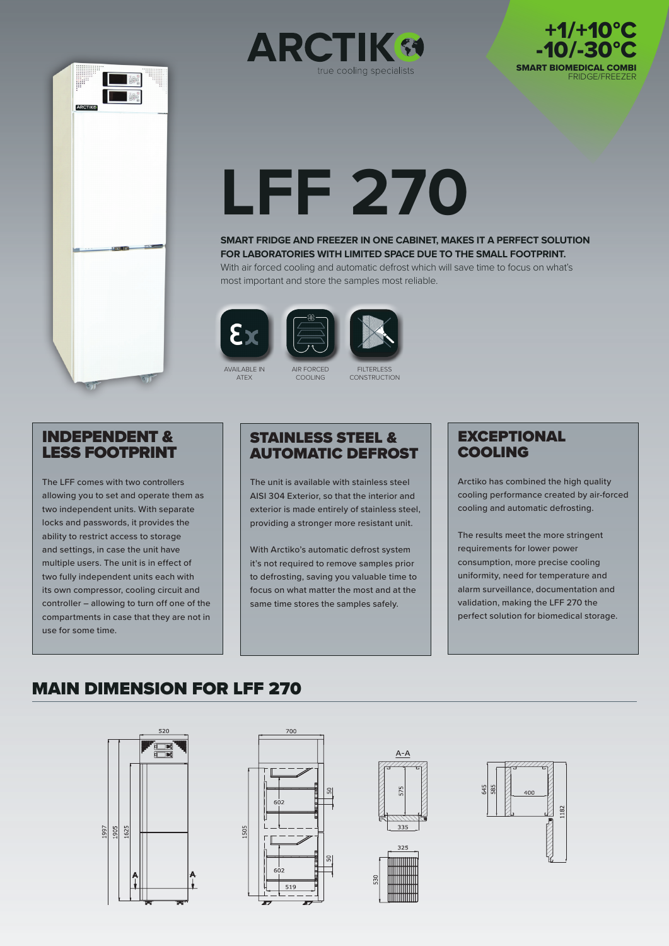





# **LFF 270**

**SMART FRIDGE AND FREEZER IN ONE CABINET, MAKES IT A PERFECT SOLUTION FOR LABORATORIES WITH LIMITED SPACE DUE TO THE SMALL FOOTPRINT.** 

With air forced cooling and automatic defrost which will save time to focus on what's most important and store the samples most reliable.







AIR FORCED COOLING

**FILTERLESS** CONSTRUCTION

#### INDEPENDENT & LESS FOOTPRINT

The LFF comes with two controllers allowing you to set and operate them as two independent units. With separate locks and passwords, it provides the ability to restrict access to storage and settings, in case the unit have multiple users. The unit is in effect of two fully independent units each with its own compressor, cooling circuit and controller – allowing to turn off one of the compartments in case that they are not in use for some time.

#### STAINLESS STEEL & AUTOMATIC DEFROST

The unit is available with stainless steel AISI 304 Exterior, so that the interior and exterior is made entirely of stainless steel, providing a stronger more resistant unit.

With Arctiko's automatic defrost system it's not required to remove samples prior to defrosting, saving you valuable time to focus on what matter the most and at the same time stores the samples safely.

#### **EXCEPTIONAL** COOLING

Arctiko has combined the high quality cooling performance created by air-forced cooling and automatic defrosting.

The results meet the more stringent requirements for lower power consumption, more precise cooling uniformity, need for temperature and alarm surveillance, documentation and validation, making the LFF 270 the perfect solution for biomedical storage.

## MAIN DIMENSION FOR LFF 270